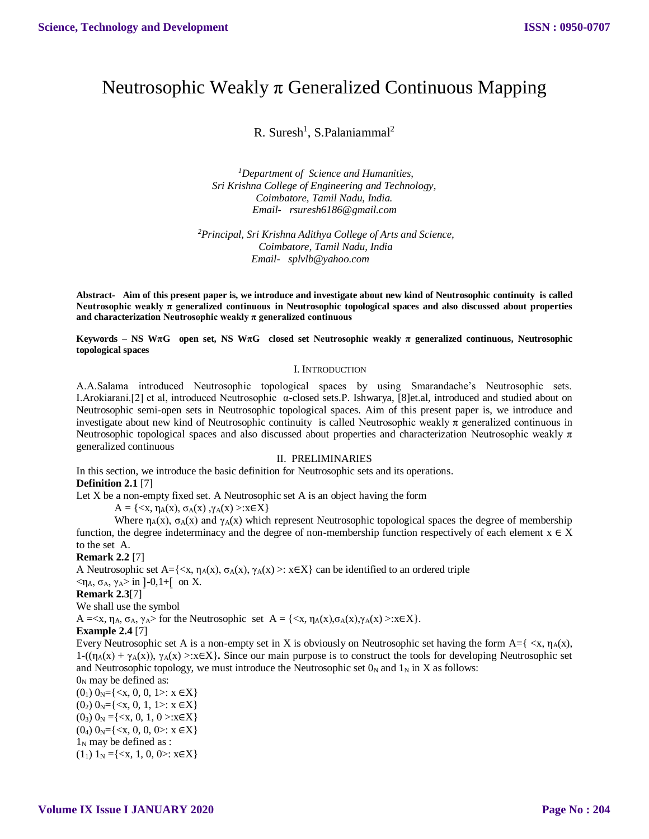# Neutrosophic Weakly π Generalized Continuous Mapping

R. Suresh<sup>1</sup>, S.Palaniammal<sup>2</sup>

*<sup>1</sup>Department of Science and Humanities, Sri Krishna College of Engineering and Technology, Coimbatore, Tamil Nadu, India. [Email- rsuresh6186@gmail.com](mailto:Email-%20%20%20anuradhamit@gmail.com)*

*<sup>2</sup>Principal, Sri Krishna Adithya College of Arts and Science, Coimbatore, Tamil Nadu, India [Email- splvlb@yahoo.com](mailto:Email-%20%20%20anuradhamit@gmail.com)*

**Abstract- Aim of this present paper is, we introduce and investigate about new kind of Neutrosophic continuity is called Neutrosophic weakly π generalized continuous in Neutrosophic topological spaces and also discussed about properties and characterization Neutrosophic weakly π generalized continuous**

**Keywords – NS WπG open set, NS WπG closed set Neutrosophic weakly π generalized continuous, Neutrosophic topological spaces**

#### I. INTRODUCTION

A.A.Salama introduced Neutrosophic topological spaces by using Smarandache's Neutrosophic sets. I.Arokiarani.[2] et al, introduced Neutrosophic α-closed sets.P. Ishwarya, [8]et.al, introduced and studied about on Neutrosophic semi-open sets in Neutrosophic topological spaces. Aim of this present paper is, we introduce and investigate about new kind of Neutrosophic continuity is called Neutrosophic weakly  $\pi$  generalized continuous in Neutrosophic topological spaces and also discussed about properties and characterization Neutrosophic weakly  $\pi$ generalized continuous

#### II. PRELIMINARIES

In this section, we introduce the basic definition for Neutrosophic sets and its operations.

## **Definition 2.1** [7]

Let X be a non-empty fixed set. A Neutrosophic set A is an object having the form

 $A = \{ \langle x, \eta_A(x), \sigma_A(x), \gamma_A(x) \rangle : x \in X \}$ 

Where  $\eta_A(x)$ ,  $\sigma_A(x)$  and  $\gamma_A(x)$  which represent Neutrosophic topological spaces the degree of membership function, the degree indeterminacy and the degree of non-membership function respectively of each element  $x \in X$ to the set A.

#### **Remark 2.2** [7]

A Neutrosophic set A={ $\langle x, \eta_A(x), \sigma_A(x), \gamma_A(x) \rangle$ :  $x \in X$ } can be identified to an ordered triple  $<$ η<sub>A</sub>, σ<sub>A</sub>, γ<sub>A</sub>> in ]-0,1+[ on X.

**Remark 2.3**[7]

We shall use the symbol

 $A = \langle x, \eta_A, \sigma_A, \gamma_A \rangle$  for the Neutrosophic set  $A = \{\langle x, \eta_A(x), \sigma_A(x), \gamma_A(x) \rangle : x \in X\}.$ 

#### **Example 2.4** [7]

Every Neutrosophic set A is a non-empty set in X is obviously on Neutrosophic set having the form A={ <x, ηA(x), 1-((η<sub>A</sub>(x) + γ<sub>A</sub>(x)), γ<sub>A</sub>(x) >:x∈X}. Since our main purpose is to construct the tools for developing Neutrosophic set and Neutrosophic topology, we must introduce the Neutrosophic set  $0<sub>N</sub>$  and  $1<sub>N</sub>$  in X as follows:

 $0<sub>N</sub>$  may be defined as:  $(0_1)$   $0_N = \{ \langle x, 0, 0, 1 \rangle : x \in X \}$  $(0_2)$  0<sub>N</sub>={ $\langle x, 0, 1, 1 \rangle$ :  $x \in X$ }  $(0_3)$   $0_N = \{ \langle x, 0, 1, 0 \rangle : x \in X \}$  $(0_4)$   $0_N = \{ \langle x, 0, 0, 0 \rangle : x \in X \}$  $1_N$  may be defined as :  $(1<sub>1</sub>)$  1<sub>N</sub> ={<x, 1, 0, 0>: x $\in$ X}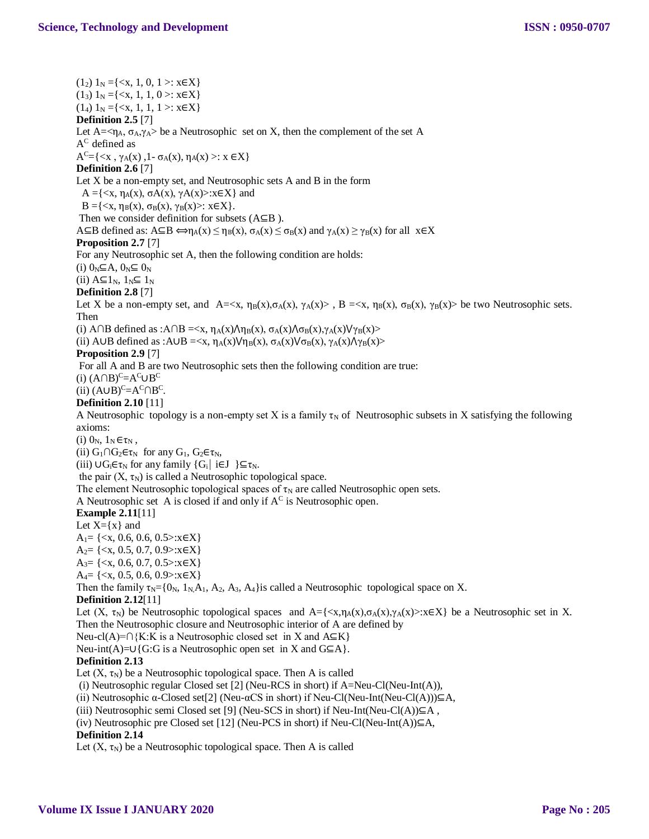$(1_2) 1_N = \{ \langle x, 1, 0, 1 \rangle : x \in X \}$  $(1_3) 1_N = \{ \langle x, 1, 1, 0 \rangle : x \in X \}$  $(1_4) 1_N = \{ \langle x, 1, 1, 1 \rangle : x \in X \}$ **Definition 2.5** [7] Let  $A = \langle \eta_A, \sigma_A, \gamma_A \rangle$  be a Neutrosophic set on X, then the complement of the set A  $\rm A^C$  defined as  $A^C = \{ \langle x, \gamma_A(x), 1 - \sigma_A(x), \eta_A(x) \rangle : x \in X \}$ **Definition 2.6** [7] Let X be a non-empty set, and Neutrosophic sets A and B in the form  $A = \{ \langle x, \eta_A(x), \sigma A(x), \gamma A(x) \rangle : x \in X \}$  and  $B = \{ \langle x, \eta_B(x), \sigma_B(x), \gamma_B(x) \rangle : x \in X \}.$ Then we consider definition for subsets (A⊆B ).  $A\subseteq B$  defined as:  $A\subseteq B \Leftrightarrow \eta_A(x) \leq \eta_B(x)$ ,  $\sigma_A(x) \leq \sigma_B(x)$  and  $\gamma_A(x) \geq \gamma_B(x)$  for all  $x \in X$ **Proposition 2.7** [7] For any Neutrosophic set A, then the following condition are holds: (i)  $0_N \subseteq A$ ,  $0_N \subseteq 0_N$ (ii)  $A \subseteq 1_N$ ,  $1_N \subseteq 1_N$ **Definition 2.8** [7] Let X be a non-empty set, and A= $\langle x, \eta_B(x), \sigma_A(x), \gamma_A(x) \rangle$ , B = $\langle x, \eta_B(x), \sigma_B(x), \gamma_B(x) \rangle$  be two Neutrosophic sets. Then (i) A∩B defined as : $A \cap B = \langle x, \eta_A(x) \rangle \eta_B(x), \sigma_A(x) \rangle \sigma_B(x), \gamma_A(x) \forall \gamma_B(x) >$ (ii) A∪B defined as :A∪B =  $\langle x, \eta_A(x) \lor \eta_B(x), \sigma_A(x) \lor \sigma_B(x), \gamma_A(x) \land \gamma_B(x) \rangle$ **Proposition 2.9** [7] For all A and B are two Neutrosophic sets then the following condition are true: (i)  $(A \cap B)^{C} = A^{C} \cup B^{C}$ (ii)  $(A \cup B)^{C} = A^{C} \cap B^{C}$ . **Definition 2.10** [11] A Neutrosophic topology is a non-empty set X is a family  $\tau_N$  of Neutrosophic subsets in X satisfying the following axioms: (i)  $0_N$ ,  $1_N \in \tau_N$ , (ii)  $G_1 \cap G_2 \in \tau_N$  for any  $G_1$ ,  $G_2 \in \tau_N$ , (iii)  $\bigcup G_i \in \tau_N$  for any family  $\{G_i \mid i \in J \} \subseteq \tau_N$ . the pair  $(X, \tau_N)$  is called a Neutrosophic topological space. The element Neutrosophic topological spaces of  $\tau_N$  are called Neutrosophic open sets. A Neutrosophic set A is closed if and only if  $A^C$  is Neutrosophic open. **Example 2.11**[11] Let  $X=\{x\}$  and  $A_1 = \{ \langle x, 0.6, 0.6, 0.5 \rangle : x \in X \}$  $A_2 = \{ \langle x, 0.5, 0.7, 0.9 \rangle : x \in X \}$  $A_3 = \{ \langle x, 0.6, 0.7, 0.5 \rangle : x \in X \}$  $A_4 = \{ \langle x, 0.5, 0.6, 0.9 \rangle : x \in X \}$ Then the family  $\tau_N = \{0_N, 1_N, A_1, A_2, A_3, A_4\}$ is called a Neutrosophic topological space on X. **Definition 2.12**[11] Let  $(X, \tau_N)$  be Neutrosophic topological spaces and A={ $\langle x, \eta_A(x), \sigma_A(x), \gamma_A(x) \rangle : x \in X$ } be a Neutrosophic set in X. Then the Neutrosophic closure and Neutrosophic interior of A are defined by Neu-cl(A)=∩{K:K is a Neutrosophic closed set in X and A⊆K} Neu-int(A)=∪{G:G is a Neutrosophic open set in X and G⊆A}. **Definition 2.13**  Let  $(X, \tau_N)$  be a Neutrosophic topological space. Then A is called (i) Neutrosophic regular Closed set [2] (Neu-RCS in short) if A=Neu-Cl(Neu-Int(A)), (ii) Neutrosophic α-Closed set[2] (Neu-αCS in short) if Neu-Cl(Neu-Int(Neu-Cl(A)))⊆A, (iii) Neutrosophic semi Closed set [9] (Neu-SCS in short) if Neu-Int(Neu-Cl(A)) $\subseteq$ A, (iv) Neutrosophic pre Closed set [12] (Neu-PCS in short) if Neu-Cl(Neu-Int(A)) $\subseteq$ A, **Definition 2.14**  Let  $(X, \tau_N)$  be a Neutrosophic topological space. Then A is called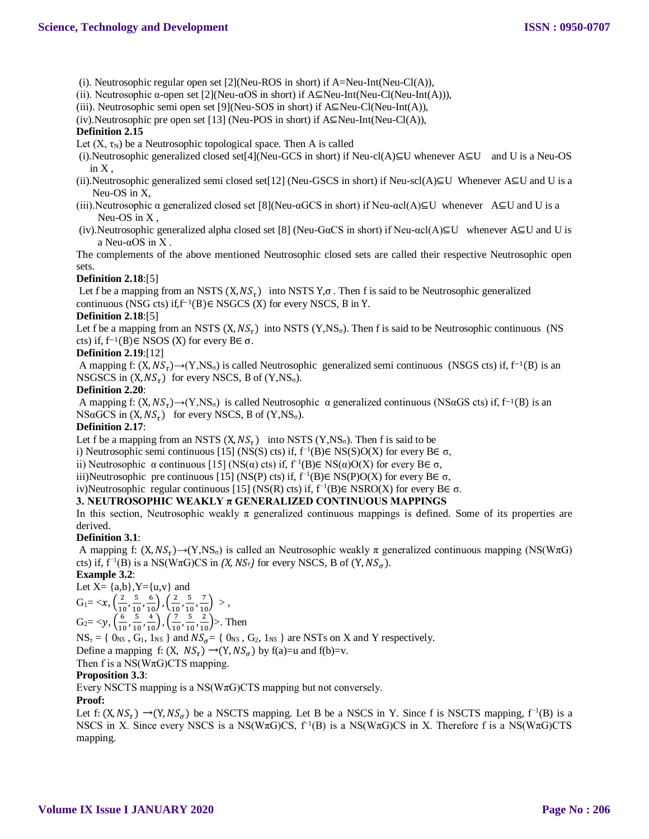- (i). Neutrosophic regular open set [2](Neu-ROS in short) if A=Neu-Int(Neu-Cl(A)),
- (ii). Neutrosophic  $\alpha$ -open set [2](Neu- $\alpha$ OS in short) if A⊆Neu-Int(Neu-Cl(Neu-Int(A))),
- (iii). Neutrosophic semi open set [9](Neu-SOS in short) if A⊆Neu-Cl(Neu-Int(A)),
- (iv).Neutrosophic pre open set [13] (Neu-POS in short) if A⊆Neu-Int(Neu-Cl(A)),

#### **Definition 2.15**

Let  $(X, \tau_N)$  be a Neutrosophic topological space. Then A is called

- (i).Neutrosophic generalized closed set[4](Neu-GCS in short) if Neu-cl(A)⊆U whenever A⊆U and U is a Neu-OS in X ,
- (ii).Neutrosophic generalized semi closed set[12] (Neu-GSCS in short) if Neu-scl(A)⊆U Whenever A⊆U and U is a Neu-OS in X,
- (iii).Neutrosophic  $\alpha$  generalized closed set [8](Neu- $\alpha$ GCS in short) if Neu- $\alpha cI(A) \subseteq U$  whenever A $\subseteq U$  and U is a Neu-OS in X ,
- (iv).Neutrosophic generalized alpha closed set [8] (Neu-GαCS in short) if Neu-αcl(A)⊆U whenever A⊆U and U is a Neu-αOS in X .

The complements of the above mentioned Neutrosophic closed sets are called their respective Neutrosophic open sets.

#### **Definition 2.18**:[5]

Let f be a mapping from an NSTS  $(X, NS_{\tau})$  into NSTS  $Y, \sigma$ . Then f is said to be Neutrosophic generalized continuous (NSG cts) if, $f^{-1}(B) \in NSGCS$  (X) for every NSCS, B in Y.

#### **Definition 2.18**:[5]

Let f be a mapping from an NSTS  $(X, NS_{\tau})$  into NSTS  $(Y, NS_{\sigma})$ . Then f is said to be Neutrosophic continuous (NS cts) if, f−1(B)∈ NSOS (X) for every B∈ σ.

## **Definition 2.19**:[12]

A mapping f:  $(X, NS<sub>τ</sub>)\rightarrow (Y, NS<sub>σ</sub>)$  is called Neutrosophic generalized semi continuous (NSGS cts) if, f<sup>-1</sup>(B) is an NSGSCS in  $(X, NS_{\tau})$  for every NSCS, B of  $(Y, NS_{\sigma})$ .

#### **Definition 2.20**:

A mapping f:  $(X, NS_{\tau}) \rightarrow (Y, NS_{\sigma})$  is called Neutrosophic  $\alpha$  generalized continuous (NS $\alpha$ GS cts) if, f<sup>-1</sup>(B) is an  $NSaGCS$  in  $(X, NS_{\tau})$  for every NSCS, B of  $(Y, NS_{\sigma})$ .

## **Definition 2.17**:

Let f be a mapping from an NSTS  $(X, NS_{\tau})$  into NSTS  $(Y, NS_{\sigma})$ . Then f is said to be

i) Neutrosophic semi continuous [15] (NS(S) cts) if,  $f^{-1}(B) \in NS(S)O(X)$  for every B∈  $\sigma$ ,

ii) Neutrosophic α continuous [15] (NS(α) cts) if, f<sup>-1</sup>(B)∈ NS(α)O(X) for every B∈  $\sigma$ ,

iii)Neutrosophic pre continuous [15] (NS(P) cts) if,  $f^{-1}(B) \in NS(P)O(X)$  for every B∈ σ,

## iv)Neutrosophic regular continuous [15] (NS(R) cts) if, f−1 (B)∈ NSRO(X) for every B∈ σ.

## **3. NEUTROSOPHIC WEAKLY π GENERALIZED CONTINUOUS MAPPINGS**

In this section, Neutrosophic weakly  $\pi$  generalized continuous mappings is defined. Some of its properties are derived.

## **Definition 3.1**:

A mapping f:  $(X, NS_{\tau}) \rightarrow (Y, NS_{\sigma})$  is called an Neutrosophic weakly  $\pi$  generalized continuous mapping (NS(W $\pi$ G) cts) if,  $f^{-1}(B)$  is a NS(W $\pi G$ )CS in *(X, NS*<sup>*t*</sup>) for every NSCS, B of  $(Y, NS_{\sigma})$ .

**Example 3.2**:

Let 
$$
X = \{a,b\}
$$
,  $Y = \{u,v\}$  and

$$
G_1 = \langle x, \left(\frac{2}{10}, \frac{5}{10}, \frac{6}{10}\right), \left(\frac{2}{10}, \frac{5}{10}, \frac{7}{10}\right) \rangle,
$$

$$
C = \frac{(6 \times 5)^{10/10} \cdot 10^{10/10}}{(6 \times 5)^{6} \cdot 10^{10/10}}
$$

$$
G_2 = \langle y, \left(\frac{6}{10}, \frac{3}{10}, \frac{4}{10}\right), \left(\frac{7}{10}, \frac{3}{10}, \frac{2}{10}\right) \rangle
$$
. Then

 $NS_{\tau} = \{ 0_{NS}, G_1, 1_{NS} \}$  and  $NS_{\sigma} = \{ 0_{NS}, G_2, 1_{NS} \}$  are NSTs on X and Y respectively.

Define a mapping f:  $(X, NS_{\tau}) \rightarrow (Y, NS_{\sigma})$  by f(a)=u and f(b)=v.

## Then f is a NS( $W\pi G$ )CTS mapping.

## **Proposition 3.3**:

Every NSCTS mapping is a  $NS(W\pi G)CTS$  mapping but not conversely.

## **Proof:**

Let f:  $(X, NS_{\tau}) \rightarrow (Y, NS_{\sigma})$  be a NSCTS mapping. Let B be a NSCS in Y. Since f is NSCTS mapping, f<sup>-1</sup>(B) is a NSCS in X. Since every NSCS is a NS(W $\pi G$ )CS,  $f^{-1}(B)$  is a NS(W $\pi G$ )CS in X. Therefore f is a NS(W $\pi G$ )CTS mapping.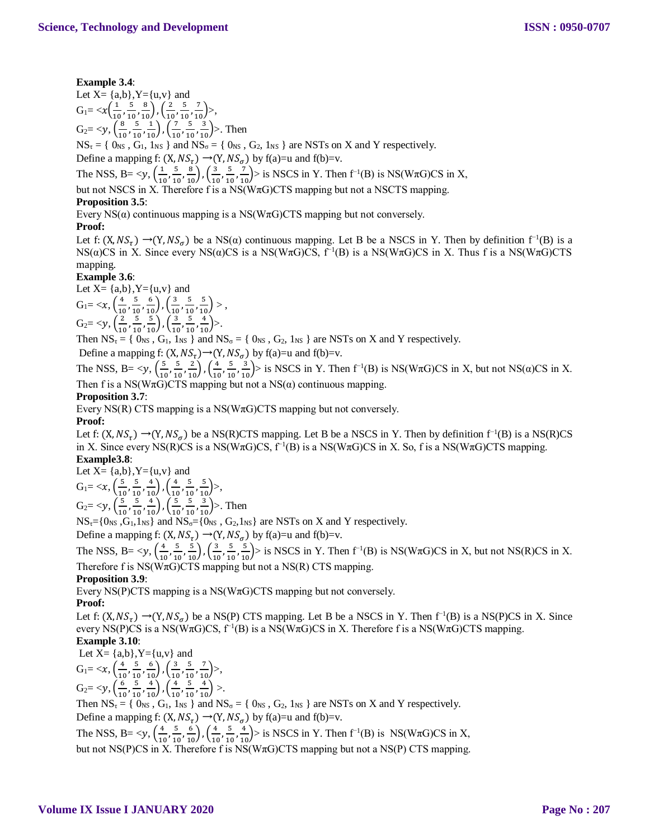## **Example 3.4**:

Let  $X = \{a,b\}$ ,  $Y = \{u,v\}$  and  $G_1 = \frac{x}{16}$  $\frac{1}{10}$ ,  $\frac{5}{10}$  $\frac{5}{10}, \frac{8}{10}$ ,  $\left(\frac{2}{10}\right)$  $\frac{2}{10}$ ,  $\frac{5}{10}$  $\frac{5}{10}, \frac{7}{10}$ >,  $G_2 = \langle y, \left( \frac{8}{10} \right) \rangle$  $\frac{8}{10}$ ,  $\frac{5}{10}$  $\frac{5}{10}, \frac{1}{10}$ ,  $\left(\frac{7}{10}\right)$  $\frac{7}{10}$ ,  $\frac{5}{10}$  $\left(\frac{5}{10}, \frac{3}{10}\right)$ >. Then

 $NS_{\tau} = \{ 0_{NS}, G_1, 1_{NS} \}$  and  $NS_{\sigma} = \{ 0_{NS}, G_2, 1_{NS} \}$  are NSTs on X and Y respectively.

Define a mapping f:  $(X, NS_{\tau}) \rightarrow (Y, NS_{\sigma})$  by f(a)=u and f(b)=v.

The NSS, B=  $\lt y, (\frac{1}{\omega})$  $\frac{1}{10}$ ,  $\frac{5}{10}$  $\frac{5}{10}, \frac{8}{10}$ ,  $\left(\frac{3}{10}\right)$  $\frac{3}{10}$ ,  $\frac{5}{10}$  $\left(\frac{5}{10}, \frac{7}{10}\right)$  is NSCS in Y. Then f<sup>-1</sup>(B) is NS(W $\pi$ G)CS in X,

but not NSCS in X. Therefore f is a NS( $W\pi G$ )CTS mapping but not a NSCTS mapping.

## **Proposition 3.5**:

Every  $NS(\alpha)$  continuous mapping is a  $NS(W\pi G)CTS$  mapping but not conversely.

## **Proof:**

Let f:  $(X, NS_{\tau}) \rightarrow (Y, NS_{\sigma})$  be a NS( $\alpha$ ) continuous mapping. Let B be a NSCS in Y. Then by definition f<sup>-1</sup>(B) is a NS(α)CS in X. Since every NS(α)CS is a NS(WπG)CS,  $f^{-1}(B)$  is a NS(WπG)CS in X. Thus f is a NS(WπG)CTS mapping.

## **Example 3.6**:

Let  $X = \{a,b\}$ ,  $Y = \{u,v\}$  and  $G_1 = \langle x, \left( \frac{4}{10} \right) \rangle$  $\frac{4}{10}$ ,  $\frac{5}{10}$  $\frac{5}{10}, \frac{6}{10}$ ,  $\left(\frac{3}{10}\right)$  $\frac{3}{10}$ ,  $\frac{5}{10}$  $\frac{5}{10}, \frac{5}{10}$  >,  $G_2 = \langle y, \left( \frac{2}{\lambda} \right) \rangle$  $\frac{2}{10}$ ,  $\frac{5}{10}$  $\frac{5}{10}, \frac{5}{10}$ ,  $\left(\frac{3}{10}\right)$  $\frac{3}{10}$ ,  $\frac{5}{10}$  $\frac{5}{10}, \frac{4}{10}$  >.

Then  $NS_{\tau} = \{ 0_{NS}, G_1, 1_{NS} \}$  and  $NS_{\sigma} = \{ 0_{NS}, G_2, 1_{NS} \}$  are NSTs on X and Y respectively.

Define a mapping f:  $(X, NS_{\tau}) \rightarrow (Y, NS_{\sigma})$  by f(a)=u and f(b)=v.

The NSS, B=  $\lt y, (\frac{5}{10})$  $\frac{5}{10}$ ,  $\frac{5}{10}$  $\frac{5}{10}, \frac{2}{10}$ ,  $\left(\frac{4}{10}\right)$  $\frac{4}{10}$ ,  $\frac{5}{10}$  $\frac{5}{10}$ ,  $\frac{3}{10}$  is NSCS in Y. Then f<sup>-1</sup>(B) is NS(W $\pi$ G)CS in X, but not NS( $\alpha$ )CS in X. Then f is a NS(W $\pi$ G)CTS mapping but not a NS( $\alpha$ ) continuous mapping.

## **Proposition 3.7**:

Every NS(R) CTS mapping is a NS( $W\pi G$ )CTS mapping but not conversely.

## **Proof:**

Let f:  $(X, NS_{\tau}) \rightarrow (Y, NS_{\sigma})$  be a NS(R)CTS mapping. Let B be a NSCS in Y. Then by definition  $f^{-1}(B)$  is a NS(R)CS in X. Since every NS(R)CS is a NS(W $\pi G$ )CS,  $f^{-1}(B)$  is a NS(W $\pi G$ )CS in X. So, f is a NS(W $\pi G$ )CTS mapping. **Example3.8**:

Let X= {a,b}, Y={u,v} and  
\nG<sub>1</sub>= 
$$
\langle x, (\frac{5}{10}, \frac{5}{10}, \frac{4}{10}), (\frac{4}{10}, \frac{5}{10}, \frac{5}{10}) \rangle
$$
,  
\nG<sub>2</sub>=  $\langle y, (\frac{5}{10}, \frac{5}{10}, \frac{4}{10}), (\frac{5}{10}, \frac{5}{10}, \frac{3}{10}) \rangle$ . Then

 $NS_{\tau}=[0_{\text{NS}}, G_1, 1_{\text{NS}}]$  and  $NS_{\sigma}=[0_{\text{NS}}, G_2, 1_{\text{NS}}]$  are NSTs on X and Y respectively.

Define a mapping f:  $(X, NS_{\tau}) \rightarrow (Y, NS_{\sigma})$  by f(a)=u and f(b)=v.

The NSS, B=  $\lt y, (\frac{4}{10})$  $\frac{4}{10}$ ,  $\frac{5}{10}$  $\frac{5}{10}, \frac{5}{10}$ ,  $\left(\frac{3}{10}\right)$  $\frac{3}{10}$ ,  $\frac{5}{10}$  $\frac{5}{10}$ ,  $\frac{5}{10}$  is NSCS in Y. Then f<sup>-1</sup>(B) is NS(W $\pi$ G)CS in X, but not NS(R)CS in X. Therefore f is  $NS(W \pi G) CTS$  mapping but not a  $NS(R) CTS$  mapping.

**Proposition 3.9**:

Every NS(P)CTS mapping is a NS( $W\pi G$ )CTS mapping but not conversely.

## **Proof:**

Let f:  $(X, NS_{\tau}) \rightarrow (Y, NS_{\sigma})$  be a NS(P) CTS mapping. Let B be a NSCS in Y. Then f<sup>-1</sup>(B) is a NS(P)CS in X. Since every NS(P)CS is a NS(W $\pi G$ )CS,  $f^{-1}(B)$  is a NS(W $\pi G$ )CS in X. Therefore f is a NS(W $\pi G$ )CTS mapping. **Example 3.10**:

Let  $X = \{a,b\}$ ,  $Y = \{u,v\}$  and

 $G_1 = \langle x, \left( \frac{4}{10} \right) \rangle$  $\frac{4}{10}$ ,  $\frac{5}{10}$  $\frac{5}{10}, \frac{6}{10}$ ,  $\left(\frac{3}{10}\right)$  $\frac{3}{10}$ ,  $\frac{5}{10}$  $\frac{5}{10}, \frac{7}{10}$ >,  $G_2 = \langle y, \left( \frac{6}{10}, \frac{5}{10}, \frac{4}{10} \right), \left( \frac{4}{10}, \frac{5}{10}, \frac{4}{10} \right) \rangle.$ 

$$
O_2-\langle y, \left(\frac{1}{10}, \frac{1}{10}, \frac{1}{10}\right), \left(\frac{1}{10}, \frac{1}{10}, \frac{1}{10}\right) \rangle.
$$

Then  $NS_{\tau} = \{ O_{NS}, G_1, 1_{NS} \}$  and  $NS_{\sigma} = \{ O_{NS}, G_2, 1_{NS} \}$  are NSTs on X and Y respectively. Define a mapping f:  $(X, NS_{\tau}) \rightarrow (Y, NS_{\sigma})$  by f(a)=u and f(b)=v.

The NSS, B=  $\lt y$ ,  $\left(\frac{4}{10}\right)$  $\frac{4}{10}$ ,  $\frac{5}{10}$  $\frac{5}{10}, \frac{6}{10}$ ,  $\left(\frac{4}{10}\right)$  $\frac{4}{10}$ ,  $\frac{5}{10}$  $\left(\frac{5}{10}, \frac{4}{10}\right)$  is NSCS in Y. Then f<sup>-1</sup>(B) is NS(W $\pi$ G)CS in X, but not NS(P)CS in X. Therefore f is NS(WπG)CTS mapping but not a NS(P) CTS mapping.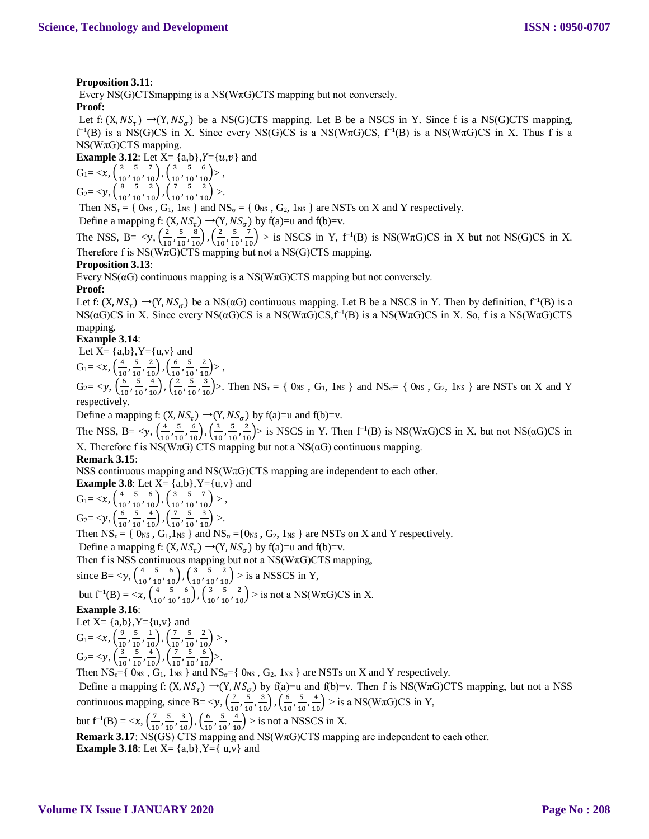## **Proposition 3.11**:

Every NS(G)CTS mapping is a NS( $W\pi G$ )CTS mapping but not conversely.

## **Proof:**

Let f:  $(X, NS_{\tau}) \rightarrow (Y, NS_{\sigma})$  be a NS(G)CTS mapping. Let B be a NSCS in Y. Since f is a NS(G)CTS mapping,  $f^{-1}(B)$  is a NS(G)CS in X. Since every NS(G)CS is a NS(W $\pi$ G)CS,  $f^{-1}(B)$  is a NS(W $\pi$ G)CS in X. Thus f is a  $NS(W\pi G)CTS$  mapping.

**Example 3.12:** Let  $X = \{a,b\}$ ,  $Y = \{u,v\}$  and

$$
G_1 = \langle x, \left(\frac{2}{10}, \frac{5}{10}, \frac{7}{10}\right), \left(\frac{3}{10}, \frac{5}{10}, \frac{6}{10}\right) \rangle, G_2 = \langle y, \left(\frac{8}{10}, \frac{5}{10}, \frac{2}{10}\right), \left(\frac{7}{10}, \frac{5}{10}, \frac{2}{10}\right) \rangle.
$$

Then  $NS_{\tau} = \{ O_{NS}, G_1, 1_{NS} \}$  and  $NS_{\sigma} = \{ O_{NS}, G_2, 1_{NS} \}$  are NSTs on X and Y respectively.

Define a mapping f:  $(X, NS_{\tau}) \rightarrow (Y, NS_{\sigma})$  by f(a)=u and f(b)=v.

The NSS, B=  $\langle y, \frac{2}{\lambda} \rangle$  $\frac{2}{10}$ ,  $\frac{5}{10}$  $\frac{5}{10}, \frac{8}{10}$ ,  $\left(\frac{2}{10}\right)$  $\frac{2}{10}$ ,  $\frac{5}{10}$  $\left(\frac{5}{10}, \frac{7}{10}\right)$  > is NSCS in Y, f<sup>-1</sup>(B) is NS(W $\pi$ G)CS in X but not NS(G)CS in X. Therefore f is  $NS(W\pi G)CTS$  mapping but not a  $NS(G)CTS$  mapping.

#### **Proposition 3.13**:

Every  $NS(\alpha G)$  continuous mapping is a  $NS(W \pi G) CTS$  mapping but not conversely.

## **Proof:**

Let f:  $(X, NS_{\tau}) \rightarrow (Y, NS_{\sigma})$  be a NS( $\alpha G$ ) continuous mapping. Let B be a NSCS in Y. Then by definition, f<sup>-1</sup>(B) is a NS(αG)CS in X. Since every NS(αG)CS is a NS(WπG)CS, $f^{-1}(B)$  is a NS(WπG)CS in X. So, f is a NS(WπG)CTS mapping.

#### **Example 3.14**:

Let  $X = \{a,b\}$ ,  $Y = \{u,v\}$  and

$$
G_1 = \langle x, \left(\frac{4}{10}, \frac{5}{10}, \frac{2}{10}\right), \left(\frac{6}{10}, \frac{5}{10}, \frac{2}{10}\right) \rangle,
$$

 $G_2 = \langle y, \left( \frac{6}{10} \right) \rangle$  $\frac{6}{10}$ ,  $\frac{5}{10}$  $\left(\frac{5}{10}, \frac{4}{10}\right), \left(\frac{2}{10}\right)$  $\frac{2}{10}$ ,  $\frac{5}{10}$  $\frac{5}{10}$ ,  $\frac{3}{10}$ ). Then NS<sub>τ</sub> = { 0<sub>NS</sub>, G<sub>1</sub>, 1<sub>NS</sub> } and NS<sub>0</sub> = { 0<sub>NS</sub>, G<sub>2</sub>, 1<sub>NS</sub> } are NSTs on X and Y respectively.

Define a mapping f:  $(X, NS_{\tau}) \rightarrow (Y, NS_{\sigma})$  by f(a)=u and f(b)=v.

The NSS, B=  $\langle y, \frac{4}{10}\rangle$  $\frac{4}{10}$ ,  $\frac{5}{10}$  $\frac{5}{10}, \frac{6}{10}$ ,  $\left(\frac{3}{10}\right)$  $\frac{3}{10}$ ,  $\frac{5}{10}$  $\frac{5}{10}$ ,  $\frac{2}{10}$  is NSCS in Y. Then f<sup>-1</sup>(B) is NS(W $\pi$ G)CS in X, but not NS( $\alpha$ G)CS in X. Therefore f is NS(W $\pi$ G) CTS mapping but not a NS( $\alpha$ G) continuous mapping.

#### **Remark 3.15**:

NSS continuous mapping and NS( $W\pi G$ )CTS mapping are independent to each other.

**Example 3.8**: Let  $X = \{a,b\}$ ,  $Y = \{u,v\}$  and  $G_1 = \langle x, \left( \frac{4}{10} \right) \rangle$  $\frac{4}{10}$ ,  $\frac{5}{10}$  $\frac{5}{10}, \frac{6}{10}$ ,  $\left(\frac{3}{10}\right)$  $\frac{3}{10}$ ,  $\frac{5}{10}$  $\frac{5}{10}, \frac{7}{10}$  >,  $G_2 = \langle y, \left( \frac{6}{10} \right) \rangle$  $\frac{6}{10}$ ,  $\frac{5}{10}$  $\frac{5}{10}, \frac{4}{10}$ ,  $\left(\frac{7}{10}\right)$  $\frac{7}{10}$ ,  $\frac{5}{10}$  $\left(\frac{5}{10}, \frac{3}{10}\right)$  >. Then  $NS_{\tau} = \{ 0_{NS}, G_1, 1_{NS} \}$  and  $NS_{\sigma} = \{0_{NS}, G_2, 1_{NS} \}$  are NSTs on X and Y respectively. Define a mapping f:  $(X, NS_{\tau}) \rightarrow (Y, NS_{\sigma})$  by f(a)=u and f(b)=v. Then f is NSS continuous mapping but not a  $NS(W\pi G)CTS$  mapping, since B=  $$  $\frac{4}{10}$ ,  $\frac{5}{10}$  $\frac{5}{10}, \frac{6}{10}$ ,  $\left(\frac{3}{10}\right)$  $\frac{3}{10}$ ,  $\frac{5}{10}$  $\left(\frac{5}{10}, \frac{2}{10}\right)$  > is a NSSCS in Y, but  $f^{-1}(B) = \langle x, \frac{4}{10} \rangle$  $\frac{4}{10}$ ,  $\frac{5}{10}$  $\frac{5}{10}, \frac{6}{10}$ ,  $\left(\frac{3}{10}\right)$  $\frac{3}{10}$ ,  $\frac{5}{10}$  $\left(\frac{5}{10}, \frac{2}{10}\right)$  > is not a NS(W $\pi$ G)CS in X. **Example 3.16**: Let  $X = \{a,b\}$ ,  $Y = \{u,v\}$  and  $G_1 = \langle x, \frac{9}{16} \rangle$  $\frac{9}{10}$ ,  $\frac{5}{10}$  $\frac{5}{10}, \frac{1}{10}$ ,  $\left(\frac{7}{10}\right)$  $\frac{7}{10}$ ,  $\frac{5}{10}$  $\frac{5}{10}, \frac{2}{10}$  >,  $G_2 = \langle y, \left( \frac{3}{44} \right) \rangle$  $\frac{3}{10}$ ,  $\frac{5}{10}$  $\frac{5}{10}, \frac{4}{10}$ ,  $\left(\frac{7}{10}\right)$  $\frac{7}{10}$ ,  $\frac{5}{10}$  $\frac{5}{10}, \frac{6}{10}$  >. Then  $NS_{\tau}$ ={  $0_{NS}$ ,  $G_1$ ,  $1_{NS}$  } and  $NS_{\sigma}$ ={  $0_{NS}$ ,  $G_2$ ,  $1_{NS}$  } are NSTs on X and Y respectively. Define a mapping f:  $(X, NS_{\tau}) \rightarrow (Y, NS_{\sigma})$  by f(a)=u and f(b)=v. Then f is NS(W $\pi$ G)CTS mapping, but not a NSS continuous mapping, since B=  $\lt y, (\frac{7}{10})$  $\frac{7}{10}$ ,  $\frac{5}{10}$  $\frac{5}{10}, \frac{3}{10}$ ,  $\left(\frac{6}{10}\right)$  $\frac{6}{10}$ ,  $\frac{5}{10}$  $\left(\frac{5}{10}, \frac{4}{10}\right)$  > is a NS(W $\pi$ G)CS in Y, but  $f^{-1}(B) = \langle x, \left( \frac{7}{10} \right) \rangle$  $\frac{7}{10}$ ,  $\frac{5}{10}$  $\frac{5}{10}, \frac{3}{10}$ ,  $\left(\frac{6}{10}\right)$  $\frac{6}{10}$ ,  $\frac{5}{10}$  $\left(\frac{5}{10}, \frac{4}{10}\right)$  > is not a NSSCS in X. **Remark 3.17:** NS(GS) CTS mapping and NS( $W\pi G$ )CTS mapping are independent to each other. **Example 3.18:** Let  $X = \{a,b\}$ ,  $Y = \{u,v\}$  and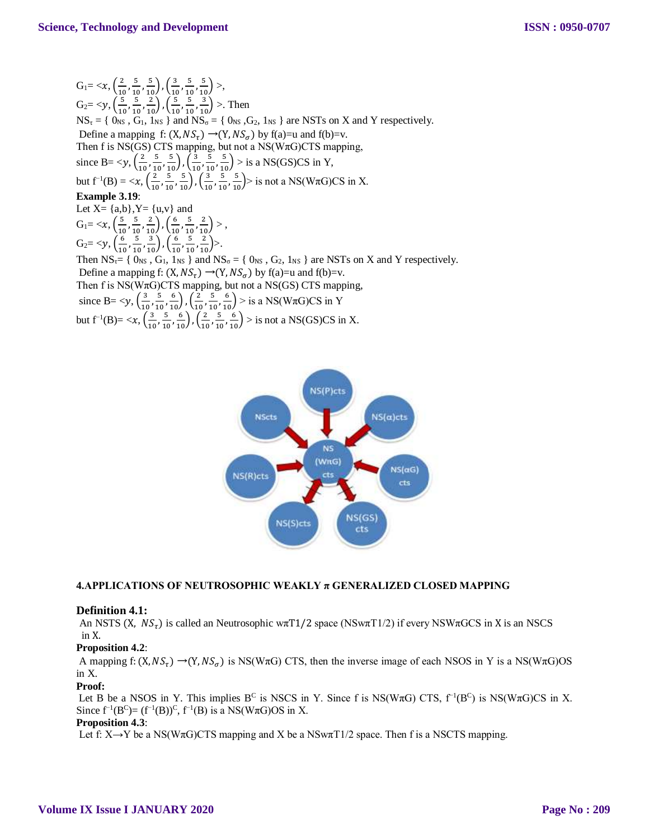$G_1 = \langle x, \frac{2}{\sqrt{2}} \rangle$  $\frac{2}{10}$ ,  $\frac{5}{10}$  $\frac{5}{10}, \frac{5}{10}$ ,  $\left(\frac{3}{10}\right)$  $\frac{3}{10}$ ,  $\frac{5}{10}$  $\frac{5}{10}, \frac{5}{10}$  >,  $G_2 = \langle y, \left( \frac{5}{10} \right) \rangle$  $\frac{5}{10}$ ,  $\frac{5}{10}$  $\frac{5}{10}, \frac{2}{10}$ ,  $\left(\frac{5}{10}\right)$  $\frac{5}{10}$ ,  $\frac{5}{10}$  $\left(\frac{5}{10}, \frac{3}{10}\right)$  >. Then  $NS_{\tau} = \{ 0_{NS}, G_1, 1_{NS} \}$  and  $NS_{\sigma} = \{ 0_{NS}, G_2, 1_{NS} \}$  are NSTs on X and Y respectively. Define a mapping f:  $(X, NS_{\tau}) \rightarrow (Y, NS_{\sigma})$  by f(a)=u and f(b)=v. Then f is NS(GS) CTS mapping, but not a NS( $W\pi G$ )CTS mapping, since B=  $$  $\frac{2}{10}$ ,  $\frac{5}{10}$  $\frac{5}{10}, \frac{5}{10}$ ,  $\left(\frac{3}{10}\right)$  $\frac{3}{10}$ ,  $\frac{5}{10}$  $\left(\frac{5}{10}, \frac{5}{10}\right)$  > is a NS(GS)CS in Y, but  $f^{-1}(B) = \langle x, \frac{2}{\lambda} \rangle$  $\frac{2}{10}$ ,  $\frac{5}{10}$  $\frac{5}{10}, \frac{5}{10}$ ,  $\left(\frac{3}{10}\right)$  $\frac{3}{10}$ ,  $\frac{5}{10}$  $\left(\frac{5}{10}, \frac{5}{10}\right)$  is not a NS(W $\pi$ G)CS in X. **Example 3.19**: Let  $X = \{a,b\}$ ,  $Y = \{u,v\}$  and  $G_1 = \langle x, \left( \frac{5}{10} \right) \rangle$  $\frac{5}{10}$ ,  $\frac{5}{10}$  $\frac{5}{10}, \frac{2}{10}$ ,  $\left(\frac{6}{10}\right)$  $\frac{6}{10}$ ,  $\frac{5}{10}$  $\frac{5}{10}, \frac{2}{10}$  >,  $G_2 = \langle y, \left( \frac{6}{16} \right) \rangle$  $\frac{6}{10}$ ,  $\frac{5}{10}$  $\frac{5}{10}, \frac{3}{10}$ ,  $\left(\frac{6}{10}\right)$  $\frac{6}{10}$ ,  $\frac{5}{10}$  $\frac{5}{10}, \frac{2}{10}$  >. Then  $NS_{\tau}$  { 0<sub>NS</sub>, G<sub>1</sub>, 1<sub>NS</sub> } and  $NS_{\sigma}$  = { 0<sub>NS</sub>, G<sub>2</sub>, 1<sub>NS</sub> } are NSTs on X and Y respectively. Define a mapping f:  $(X, NS_{\tau}) \rightarrow (Y, NS_{\sigma})$  by f(a)=u and f(b)=v. Then f is  $NS(W\pi G)CTS$  mapping, but not a  $NS(GS)$  CTS mapping, since B= <y,  $\left(\frac{3}{10}\right)$  $\frac{3}{10}$ ,  $\frac{5}{10}$  $\frac{5}{10}, \frac{6}{10}$ ,  $\left(\frac{2}{10}\right)$  $\frac{2}{10}$ ,  $\frac{5}{10}$  $\left(\frac{5}{10}, \frac{6}{10}\right)$  > is a NS(W $\pi$ G)CS in Y but  $f^{-1}(B) = \langle x, \left( \frac{3}{10} \right) \rangle$  $\frac{3}{10}$ ,  $\frac{5}{10}$  $\frac{5}{10}, \frac{6}{10}$ ,  $\left(\frac{2}{10}\right)$  $\frac{2}{10}$ ,  $\frac{5}{10}$  $\left(\frac{5}{10}, \frac{6}{10}\right)$  > is not a NS(GS)CS in X.



## **4.APPLICATIONS OF NEUTROSOPHIC WEAKLY π GENERALIZED CLOSED MAPPING**

#### **Definition 4.1:**

An NSTS (X,  $NS_{\tau}$ ) is called an Neutrosophic w $\pi T1/2$  space (NSw $\pi T1/2$ ) if every NSW $\pi GCS$  in X is an NSCS in X.

#### **Proposition 4.2**:

A mapping f:  $(X, NS_{\tau}) \rightarrow (Y, NS_{\sigma})$  is NS(W $\pi G$ ) CTS, then the inverse image of each NSOS in Y is a NS(W $\pi G$ )OS in X.

#### **Proof:**

Let B be a NSOS in Y. This implies B<sup>C</sup> is NSCS in Y. Since f is NS(W $\pi$ G) CTS, f<sup>-1</sup>(B<sup>C</sup>) is NS(W $\pi$ G)CS in X. Since  $f^{-1}(B^C) = (f^{-1}(B))^C$ ,  $f^{-1}(B)$  is a NS(W $\pi G$ )OS in X.

## **Proposition 4.3**:

Let f:  $X \rightarrow Y$  be a NS(W $\pi G$ )CTS mapping and X be a NSw $\pi T/2$  space. Then f is a NSCTS mapping.